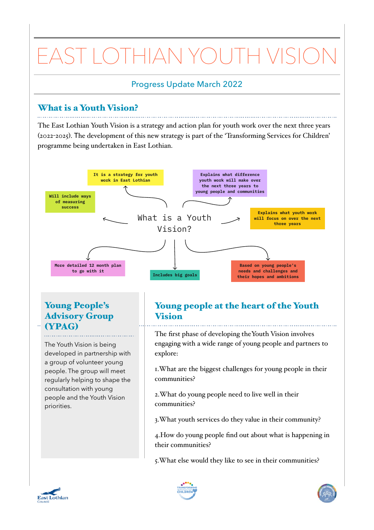# EAST LOTHIAN YOUTH VISION

## Progress Update March 2022

## What is a Youth Vision?

The East Lothian Youth Vision is a strategy and action plan for youth work over the next three years (2022-2025). The development of this new strategy is part of the 'Transforming Services for Children' programme being undertaken in East Lothian.



## Young People's Advisory Group (YPAG)

The Youth Vision is being developed in partnership with a group of volunteer young people. The group will meet regularly helping to shape the consultation with young people and the Youth Vision priorities.

# Young people at the heart of the Youth Vision

The first phase of developing theYouth Vision involves engaging with a wide range of young people and partners to explore:

1.What are the biggest challenges for young people in their communities?

2.What do young people need to live well in their communities?

3.What youth services do they value in their community?

4.How do young people find out about what is happening in their communities?

5.What else would they like to see in their communities?